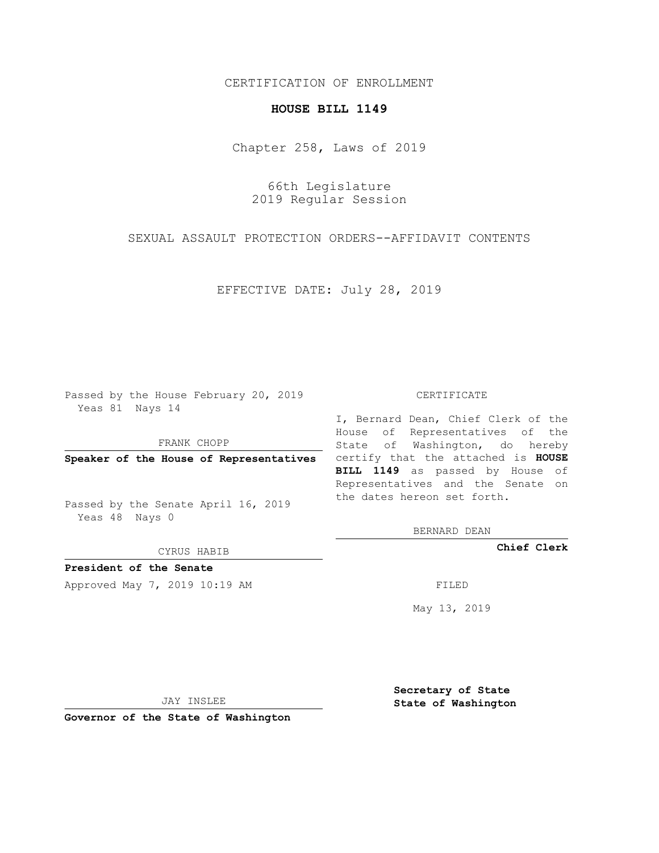# CERTIFICATION OF ENROLLMENT

# **HOUSE BILL 1149**

Chapter 258, Laws of 2019

66th Legislature 2019 Regular Session

SEXUAL ASSAULT PROTECTION ORDERS--AFFIDAVIT CONTENTS

EFFECTIVE DATE: July 28, 2019

Passed by the House February 20, 2019 Yeas 81 Nays 14

FRANK CHOPP

Passed by the Senate April 16, 2019 Yeas 48 Nays 0

CYRUS HABIB

**President of the Senate**

Approved May 7, 2019 10:19 AM FILED

#### CERTIFICATE

**Speaker of the House of Representatives** certify that the attached is **HOUSE** I, Bernard Dean, Chief Clerk of the House of Representatives of the State of Washington, do hereby **BILL 1149** as passed by House of Representatives and the Senate on the dates hereon set forth.

BERNARD DEAN

**Chief Clerk**

May 13, 2019

JAY INSLEE

**Governor of the State of Washington**

**Secretary of State State of Washington**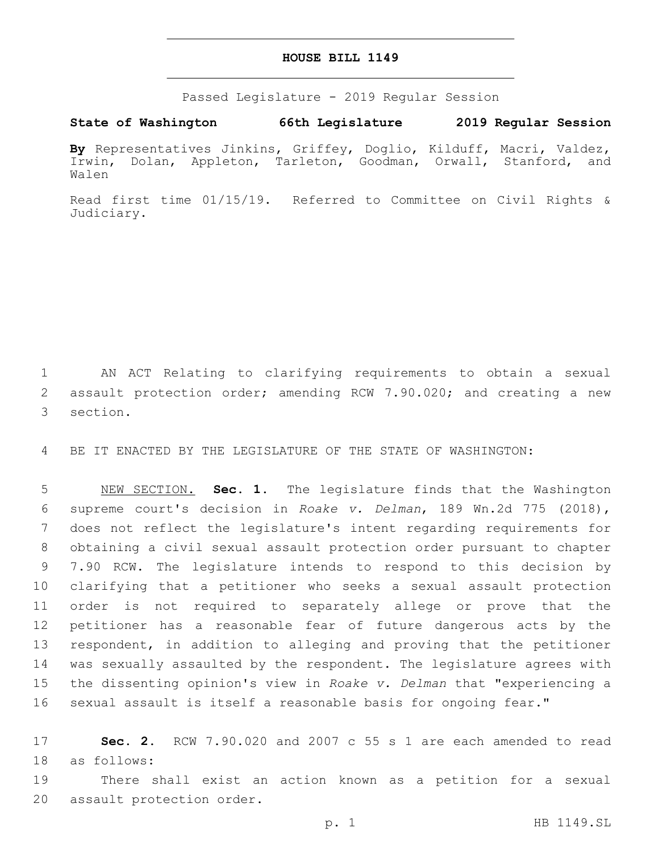### **HOUSE BILL 1149**

Passed Legislature - 2019 Regular Session

# **State of Washington 66th Legislature 2019 Regular Session**

**By** Representatives Jinkins, Griffey, Doglio, Kilduff, Macri, Valdez, Irwin, Dolan, Appleton, Tarleton, Goodman, Orwall, Stanford, and Walen

Read first time 01/15/19. Referred to Committee on Civil Rights & Judiciary.

1 AN ACT Relating to clarifying requirements to obtain a sexual 2 assault protection order; amending RCW 7.90.020; and creating a new 3 section.

4 BE IT ENACTED BY THE LEGISLATURE OF THE STATE OF WASHINGTON:

 NEW SECTION. **Sec. 1.** The legislature finds that the Washington supreme court's decision in *Roake v. Delman*, 189 Wn.2d 775 (2018), does not reflect the legislature's intent regarding requirements for obtaining a civil sexual assault protection order pursuant to chapter 7.90 RCW. The legislature intends to respond to this decision by clarifying that a petitioner who seeks a sexual assault protection order is not required to separately allege or prove that the petitioner has a reasonable fear of future dangerous acts by the respondent, in addition to alleging and proving that the petitioner was sexually assaulted by the respondent. The legislature agrees with the dissenting opinion's view in *Roake v. Delman* that "experiencing a sexual assault is itself a reasonable basis for ongoing fear."

17 **Sec. 2.** RCW 7.90.020 and 2007 c 55 s 1 are each amended to read 18 as follows:

19 There shall exist an action known as a petition for a sexual 20 assault protection order.